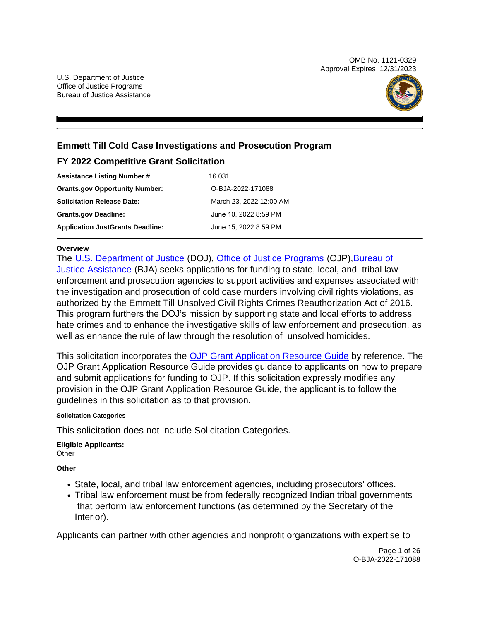OMB No. 1121-0329 Approval Expires 12/31/2023



### **Emmett Till Cold Case Investigations and Prosecution Program**

### **FY 2022 Competitive Grant Solicitation**

| <b>Assistance Listing Number #</b>      | 16.031                  |
|-----------------------------------------|-------------------------|
| <b>Grants.gov Opportunity Number:</b>   | O-BJA-2022-171088       |
| <b>Solicitation Release Date:</b>       | March 23, 2022 12:00 AM |
| <b>Grants.gov Deadline:</b>             | June 10, 2022 8:59 PM   |
| <b>Application JustGrants Deadline:</b> | June 15, 2022 8:59 PM   |

#### **Overview**

The [U.S. Department of Justice \(D](https://www.usdoj.gov/)OJ), [Office of Justice Programs \(O](https://www.ojp.usdoj.gov/)JP),[Bureau of](https://bja.ojp.gov/) [Justice Assistance \(B](https://bja.ojp.gov/)JA) seeks applications for funding to state, local, and tribal law enforcement and prosecution agencies to support activities and expenses associated with the investigation and prosecution of cold case murders involving civil rights violations, as authorized by the Emmett Till Unsolved Civil Rights Crimes Reauthorization Act of 2016. This program furthers the DOJ's mission by supporting state and local efforts to address hate crimes and to enhance the investigative skills of law enforcement and prosecution, as well as enhance the rule of law through the resolution of unsolved homicides.

This solicitation incorporates the [OJP Grant Application Resource Guide b](https://www.ojp.gov/funding/Apply/Resources/Grant-App-Resource-Guide.htm)y reference. The OJP Grant Application Resource Guide provides guidance to applicants on how to prepare and submit applications for funding to OJP. If this solicitation expressly modifies any provision in the OJP Grant Application Resource Guide, the applicant is to follow the guidelines in this solicitation as to that provision.

#### **Solicitation Categories**

This solicitation does not include Solicitation Categories.

**Eligible Applicants: Other** 

**Other** 

- State, local, and tribal law enforcement agencies, including prosecutors' offices.
- Tribal law enforcement must be from federally recognized Indian tribal governments that perform law enforcement functions (as determined by the Secretary of the Interior).

Applicants can partner with other agencies and nonprofit organizations with expertise to

Page 1 of 26 O-BJA-2022-171088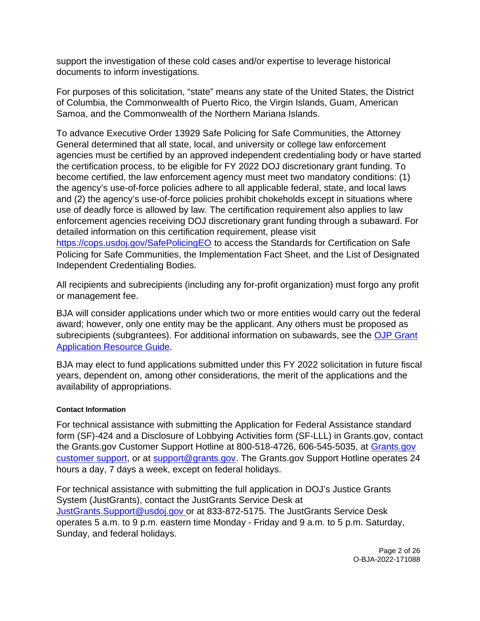<span id="page-1-0"></span>support the investigation of these cold cases and/or expertise to leverage historical documents to inform investigations.

For purposes of this solicitation, "state" means any state of the United States, the District of Columbia, the Commonwealth of Puerto Rico, the Virgin Islands, Guam, American Samoa, and the Commonwealth of the Northern Mariana Islands.

To advance Executive Order 13929 Safe Policing for Safe Communities, the Attorney General determined that all state, local, and university or college law enforcement agencies must be certified by an approved independent credentialing body or have started the certification process, to be eligible for FY 2022 DOJ discretionary grant funding. To become certified, the law enforcement agency must meet two mandatory conditions: (1) the agency's use-of-force policies adhere to all applicable federal, state, and local laws and (2) the agency's use-of-force policies prohibit chokeholds except in situations where use of deadly force is allowed by law. The certification requirement also applies to law enforcement agencies receiving DOJ discretionary grant funding through a subaward. For detailed information on this certification requirement, please visit [https://cops.usdoj.gov/SafePolicingEO](https://cops.usdoj.gov/SafePolicingEO%20) to access the Standards for Certification on Safe Policing for Safe Communities, the Implementation Fact Sheet, and the List of Designated Independent Credentialing Bodies.

All recipients and subrecipients (including any for-profit organization) must forgo any profit or management fee.

BJA will consider applications under which two or more entities would carry out the federal award; however, only one entity may be the applicant. Any others must be proposed as subrecipients (subgrantees). For additional information on subawards, see the [OJP Grant](https://www.ojp.gov/funding/Apply/Resources/Grant-App-Resource-Guide.htm)  [Application Resource Guide.](https://www.ojp.gov/funding/Apply/Resources/Grant-App-Resource-Guide.htm)

BJA may elect to fund applications submitted under this FY 2022 solicitation in future fiscal years, dependent on, among other considerations, the merit of the applications and the availability of appropriations.

#### **Contact Information**

For technical assistance with submitting the Application for Federal Assistance standard form (SF)-424 and a Disclosure of Lobbying Activities form (SF-LLL) in [Grants.gov,](https://Grants.gov) contact the [Grants.gov](https://Grants.gov) Customer Support Hotline at 800-518-4726, 606-545-5035, at [Grants.gov](https://www.grants.gov/web/grants/support.html)  [customer support,](https://www.grants.gov/web/grants/support.html) or at [support@grants.gov.](mailto:support@grants.gov) The [Grants.gov](https://Grants.gov) Support Hotline operates 24 hours a day, 7 days a week, except on federal holidays.

For technical assistance with submitting the full application in DOJ's Justice Grants System (JustGrants), contact the JustGrants Service Desk at [JustGrants.Support@usdoj.gov o](mailto:JustGrants.Support@usdoj.gov)r at 833-872-5175. The JustGrants Service Desk operates 5 a.m. to 9 p.m. eastern time Monday - Friday and 9 a.m. to 5 p.m. Saturday, Sunday, and federal holidays.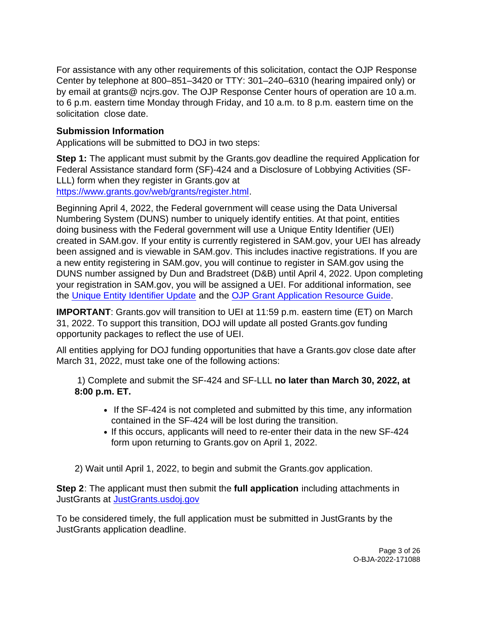For assistance with any other requirements of this solicitation, contact the OJP Response Center by telephone at 800–851–3420 or TTY: 301–240–6310 (hearing impaired only) or by email at grants@ [ncjrs.gov.](https://ncjrs.gov) The OJP Response Center hours of operation are 10 a.m. to 6 p.m. eastern time Monday through Friday, and 10 a.m. to 8 p.m. eastern time on the solicitation close date.

### **Submission Information**

Applications will be submitted to DOJ in two steps:

**Step 1:** The applicant must submit by the [Grants.gov](https://Grants.gov) deadline the required Application for Federal Assistance standard form (SF)-424 and a Disclosure of Lobbying Activities (SF-LLL) form when they register in Grants.gov at [https://www.grants.gov/web/grants/register.html.](https://www.grants.gov/web/grants/register.html)

Beginning April 4, 2022, the Federal government will cease using the Data Universal Numbering System (DUNS) number to uniquely identify entities. At that point, entities doing business with the Federal government will use a Unique Entity Identifier (UEI) created in SAM.gov. If your entity is currently registered in SAM.gov, your UEI has already been assigned and is viewable in SAM.gov. This includes inactive registrations. If you are a new entity registering in SAM.gov, you will continue to register in SAM.gov using the DUNS number assigned by Dun and Bradstreet (D&B) until April 4, 2022. Upon completing your registration in SAM.gov, you will be assigned a UEI. For additional information, see the [Unique Entity Identifier Update](https://www.gsa.gov/about-us/organization/federal-acquisition-service/office-of-systems-management/integrated-award-environment-iae/iae-systems-information-kit/unique-entity-identifier-update) and the [OJP Grant Application Resource Guide.](https://www.ojp.gov/funding/apply/ojp-grant-application-resource-guide#unique-entity) 

**IMPORTANT**: [Grants.gov](https://Grants.gov) will transition to UEI at 11:59 p.m. eastern time (ET) on March 31, 2022. To support this transition, DOJ will update all posted [Grants.gov](https://Grants.gov) funding opportunity packages to reflect the use of UEI.

All entities applying for DOJ funding opportunities that have a [Grants.gov](https://Grants.gov) close date after March 31, 2022, must take one of the following actions:

1) Complete and submit the SF-424 and SF-LLL **no later than March 30, 2022, at 8:00 p.m. ET.**

- If the SF-424 is not completed and submitted by this time, any information contained in the SF-424 will be lost during the transition.
- If this occurs, applicants will need to re-enter their data in the new SF-424 form upon returning to [Grants.gov](https://Grants.gov) on April 1, 2022.

2) Wait until April 1, 2022, to begin and submit the [Grants.gov](https://Grants.gov) application.

**Step 2**: The applicant must then submit the **full application** including attachments in JustGrants at [JustGrants.usdoj.gov](https://justicegrants.usdoj.gov/) 

To be considered timely, the full application must be submitted in JustGrants by the JustGrants application deadline.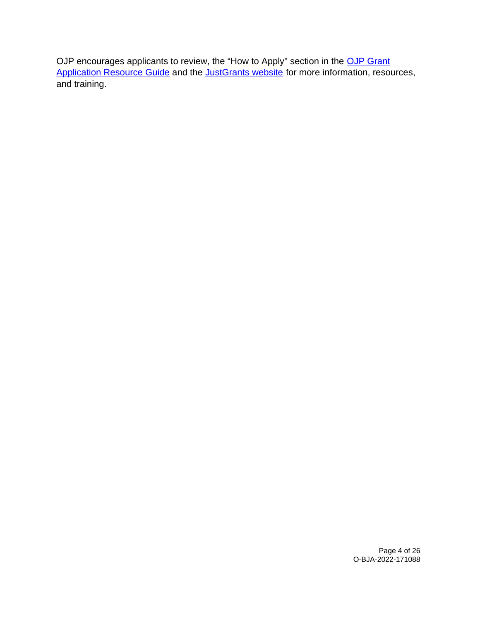OJP encourages applicants to review, the "How to Apply" section in the OJP Grant [Application Resource Guide](https://www.ojp.gov/funding/apply/ojp-grant-application-resource-guide#apply) and the [JustGrants website](https://justicegrants.usdoj.gov/news) for more information, resources, and training.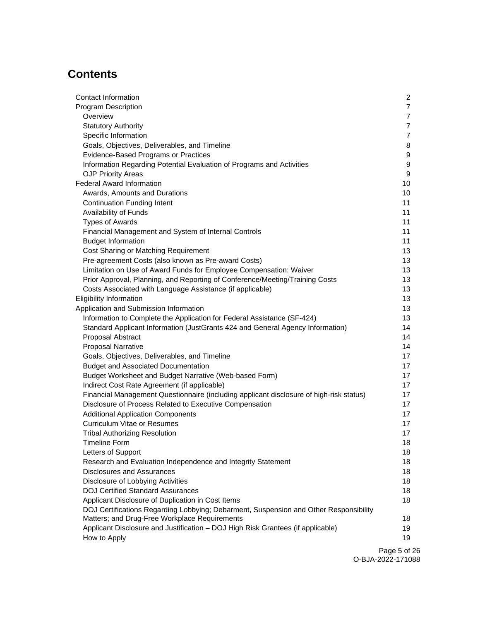# **Contents**

| <b>Contact Information</b>                                                              | $\overline{a}$ |
|-----------------------------------------------------------------------------------------|----------------|
| Program Description                                                                     | $\overline{7}$ |
| Overview                                                                                | $\overline{7}$ |
| <b>Statutory Authority</b>                                                              | $\overline{7}$ |
| Specific Information                                                                    | $\overline{7}$ |
| Goals, Objectives, Deliverables, and Timeline                                           | 8              |
| Evidence-Based Programs or Practices                                                    | 9              |
| Information Regarding Potential Evaluation of Programs and Activities                   | 9              |
| <b>OJP Priority Areas</b>                                                               | 9              |
| <b>Federal Award Information</b>                                                        | 10             |
| Awards, Amounts and Durations                                                           | 10             |
| <b>Continuation Funding Intent</b>                                                      | 11             |
| Availability of Funds                                                                   | 11             |
| <b>Types of Awards</b>                                                                  | 11             |
| Financial Management and System of Internal Controls                                    | 11             |
| <b>Budget Information</b>                                                               | 11             |
| Cost Sharing or Matching Requirement                                                    | 13             |
| Pre-agreement Costs (also known as Pre-award Costs)                                     | 13             |
| Limitation on Use of Award Funds for Employee Compensation: Waiver                      | 13             |
| Prior Approval, Planning, and Reporting of Conference/Meeting/Training Costs            | 13             |
| Costs Associated with Language Assistance (if applicable)                               | 13             |
| <b>Eligibility Information</b>                                                          | 13             |
| Application and Submission Information                                                  | 13             |
| Information to Complete the Application for Federal Assistance (SF-424)                 | 13             |
| Standard Applicant Information (JustGrants 424 and General Agency Information)          | 14             |
| Proposal Abstract                                                                       | 14             |
| <b>Proposal Narrative</b>                                                               | 14             |
| Goals, Objectives, Deliverables, and Timeline                                           | 17             |
| <b>Budget and Associated Documentation</b>                                              | 17             |
| Budget Worksheet and Budget Narrative (Web-based Form)                                  | 17             |
| Indirect Cost Rate Agreement (if applicable)                                            | 17             |
| Financial Management Questionnaire (including applicant disclosure of high-risk status) | 17             |
| Disclosure of Process Related to Executive Compensation                                 | 17             |
| <b>Additional Application Components</b>                                                | 17             |
| <b>Curriculum Vitae or Resumes</b>                                                      | 17             |
| <b>Tribal Authorizing Resolution</b>                                                    | 17             |
| Timeline Form                                                                           | 18             |
| Letters of Support                                                                      | 18             |
| Research and Evaluation Independence and Integrity Statement                            | 18             |
| <b>Disclosures and Assurances</b>                                                       | 18             |
| Disclosure of Lobbying Activities                                                       | 18             |
| <b>DOJ Certified Standard Assurances</b>                                                | 18             |
| Applicant Disclosure of Duplication in Cost Items                                       | 18             |
| DOJ Certifications Regarding Lobbying; Debarment, Suspension and Other Responsibility   |                |
| Matters; and Drug-Free Workplace Requirements                                           | 18             |
| Applicant Disclosure and Justification - DOJ High Risk Grantees (if applicable)         | 19             |
| How to Apply                                                                            | 19             |
|                                                                                         |                |

Page 5 of 26 O-BJA-2022-171088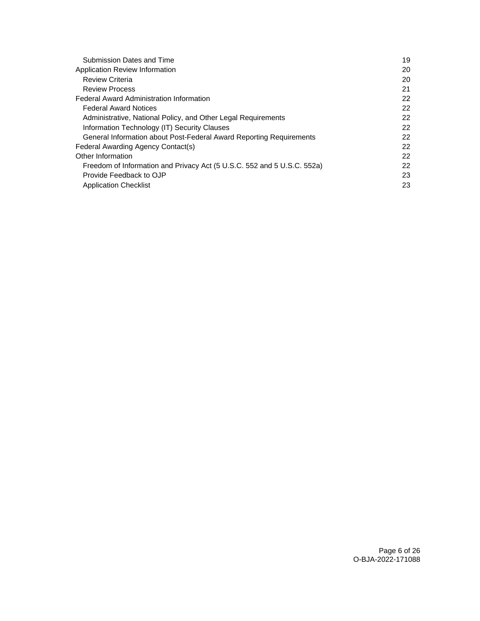| <b>Submission Dates and Time</b>                                        | 19 |
|-------------------------------------------------------------------------|----|
| Application Review Information                                          | 20 |
| <b>Review Criteria</b>                                                  | 20 |
| <b>Review Process</b>                                                   | 21 |
| <b>Federal Award Administration Information</b>                         | 22 |
| <b>Federal Award Notices</b>                                            | 22 |
| Administrative, National Policy, and Other Legal Requirements           | 22 |
| Information Technology (IT) Security Clauses                            | 22 |
| General Information about Post-Federal Award Reporting Requirements     | 22 |
| Federal Awarding Agency Contact(s)                                      | 22 |
| Other Information                                                       | 22 |
| Freedom of Information and Privacy Act (5 U.S.C. 552 and 5 U.S.C. 552a) | 22 |
| Provide Feedback to OJP                                                 | 23 |
| <b>Application Checklist</b>                                            | 23 |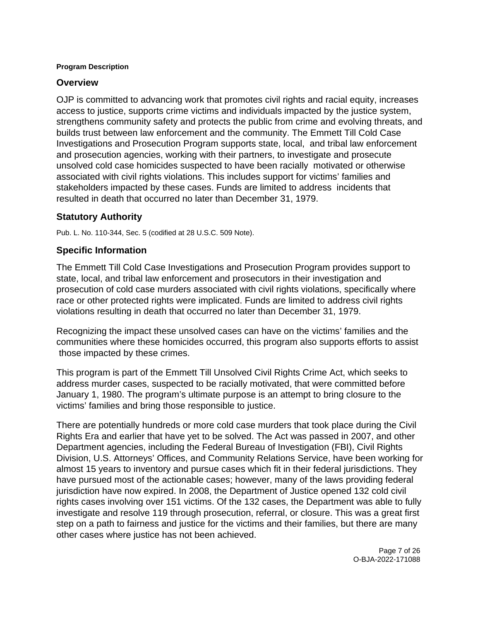#### <span id="page-6-0"></span>**Program Description**

#### **Overview**

OJP is committed to advancing work that promotes civil rights and racial equity, increases access to justice, supports crime victims and individuals impacted by the justice system, strengthens community safety and protects the public from crime and evolving threats, and builds trust between law enforcement and the community. The Emmett Till Cold Case Investigations and Prosecution Program supports state, local, and tribal law enforcement and prosecution agencies, working with their partners, to investigate and prosecute unsolved cold case homicides suspected to have been racially motivated or otherwise associated with civil rights violations. This includes support for victims' families and stakeholders impacted by these cases. Funds are limited to address incidents that resulted in death that occurred no later than December 31, 1979.

### **Statutory Authority**

Pub. L. No. 110-344, Sec. 5 (codified at 28 U.S.C. 509 Note).

### **Specific Information**

The Emmett Till Cold Case Investigations and Prosecution Program provides support to state, local, and tribal law enforcement and prosecutors in their investigation and prosecution of cold case murders associated with civil rights violations, specifically where race or other protected rights were implicated. Funds are limited to address civil rights violations resulting in death that occurred no later than December 31, 1979.

Recognizing the impact these unsolved cases can have on the victims' families and the communities where these homicides occurred, this program also supports efforts to assist those impacted by these crimes.

This program is part of the Emmett Till Unsolved Civil Rights Crime Act, which seeks to address murder cases, suspected to be racially motivated, that were committed before January 1, 1980. The program's ultimate purpose is an attempt to bring closure to the victims' families and bring those responsible to justice.

There are potentially hundreds or more cold case murders that took place during the Civil Rights Era and earlier that have yet to be solved. The Act was passed in 2007, and other Department agencies, including the Federal Bureau of Investigation (FBI), Civil Rights Division, U.S. Attorneys' Offices, and Community Relations Service, have been working for almost 15 years to inventory and pursue cases which fit in their federal jurisdictions. They have pursued most of the actionable cases; however, many of the laws providing federal jurisdiction have now expired. In 2008, the Department of Justice opened 132 cold civil rights cases involving over 151 victims. Of the 132 cases, the Department was able to fully investigate and resolve 119 through prosecution, referral, or closure. This was a great first step on a path to fairness and justice for the victims and their families, but there are many other cases where justice has not been achieved.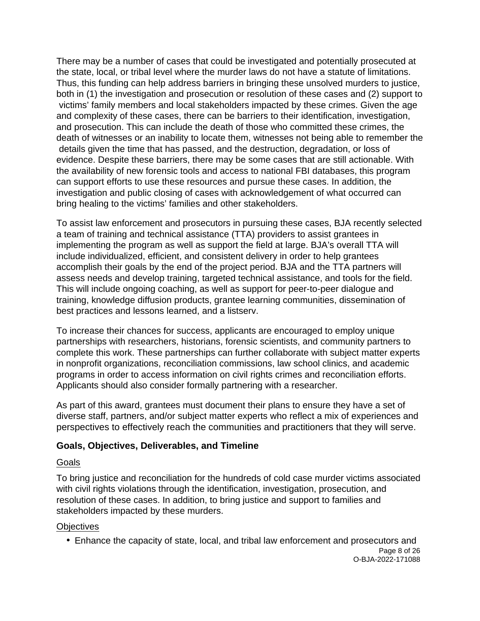<span id="page-7-0"></span>There may be a number of cases that could be investigated and potentially prosecuted at the state, local, or tribal level where the murder laws do not have a statute of limitations. Thus, this funding can help address barriers in bringing these unsolved murders to justice, both in (1) the investigation and prosecution or resolution of these cases and (2) support to victims' family members and local stakeholders impacted by these crimes. Given the age and complexity of these cases, there can be barriers to their identification, investigation, and prosecution. This can include the death of those who committed these crimes, the death of witnesses or an inability to locate them, witnesses not being able to remember the details given the time that has passed, and the destruction, degradation, or loss of evidence. Despite these barriers, there may be some cases that are still actionable. With the availability of new forensic tools and access to national FBI databases, this program can support efforts to use these resources and pursue these cases. In addition, the investigation and public closing of cases with acknowledgement of what occurred can bring healing to the victims' families and other stakeholders.

To assist law enforcement and prosecutors in pursuing these cases, BJA recently selected a team of training and technical assistance (TTA) providers to assist grantees in implementing the program as well as support the field at large. BJA's overall TTA will include individualized, efficient, and consistent delivery in order to help grantees accomplish their goals by the end of the project period. BJA and the TTA partners will assess needs and develop training, targeted technical assistance, and tools for the field. This will include ongoing coaching, as well as support for peer-to-peer dialogue and training, knowledge diffusion products, grantee learning communities, dissemination of best practices and lessons learned, and a listserv.

To increase their chances for success, applicants are encouraged to employ unique partnerships with researchers, historians, forensic scientists, and community partners to complete this work. These partnerships can further collaborate with subject matter experts in nonprofit organizations, reconciliation commissions, law school clinics, and academic programs in order to access information on civil rights crimes and reconciliation efforts. Applicants should also consider formally partnering with a researcher.

As part of this award, grantees must document their plans to ensure they have a set of diverse staff, partners, and/or subject matter experts who reflect a mix of experiences and perspectives to effectively reach the communities and practitioners that they will serve.

### **Goals, Objectives, Deliverables, and Timeline**

### Goals

To bring justice and reconciliation for the hundreds of cold case murder victims associated with civil rights violations through the identification, investigation, prosecution, and resolution of these cases. In addition, to bring justice and support to families and stakeholders impacted by these murders.

### **Objectives**

Enhance the capacity of state, local, and tribal law enforcement and prosecutors and

Page 8 of 26 O-BJA-2022-171088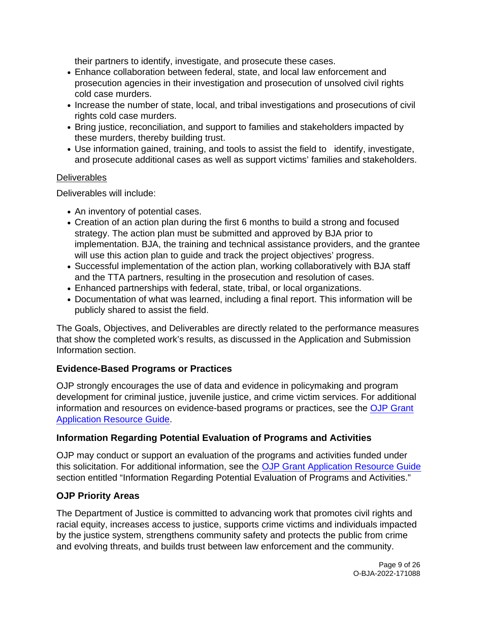<span id="page-8-0"></span>their partners to identify, investigate, and prosecute these cases.

- Enhance collaboration between federal, state, and local law enforcement and prosecution agencies in their investigation and prosecution of unsolved civil rights cold case murders.
- Increase the number of state, local, and tribal investigations and prosecutions of civil rights cold case murders.
- Bring justice, reconciliation, and support to families and stakeholders impacted by these murders, thereby building trust.
- Use information gained, training, and tools to assist the field to identify, investigate, and prosecute additional cases as well as support victims' families and stakeholders.

### **Deliverables**

Deliverables will include:

- An inventory of potential cases.
- Creation of an action plan during the first 6 months to build a strong and focused strategy. The action plan must be submitted and approved by BJA prior to implementation. BJA, the training and technical assistance providers, and the grantee will use this action plan to guide and track the project objectives' progress.
- Successful implementation of the action plan, working collaboratively with BJA staff and the TTA partners, resulting in the prosecution and resolution of cases.
- Enhanced partnerships with federal, state, tribal, or local organizations.
- Documentation of what was learned, including a final report. This information will be publicly shared to assist the field.

The Goals, Objectives, and Deliverables are directly related to the performance measures that show the completed work's results, as discussed in the Application and Submission Information section.

### **Evidence-Based Programs or Practices**

OJP strongly encourages the use of data and evidence in policymaking and program development for criminal justice, juvenile justice, and crime victim services. For additional information and resources on evidence-based programs or practices, see the [OJP Grant](https://www.ojp.gov/funding/apply/ojp-grant-application-resource-guide#evidence-based) [Application Resource Guide.](https://www.ojp.gov/funding/apply/ojp-grant-application-resource-guide#evidence-based) 

### **Information Regarding Potential Evaluation of Programs and Activities**

OJP may conduct or support an evaluation of the programs and activities funded under this solicitation. For additional information, see the [OJP Grant Application Resource Guide](https://www.ojp.gov/funding/apply/ojp-grant-application-resource-guide#potential-evaluation) section entitled "Information Regarding Potential Evaluation of Programs and Activities."

### **OJP Priority Areas**

The Department of Justice is committed to advancing work that promotes civil rights and racial equity, increases access to justice, supports crime victims and individuals impacted by the justice system, strengthens community safety and protects the public from crime and evolving threats, and builds trust between law enforcement and the community.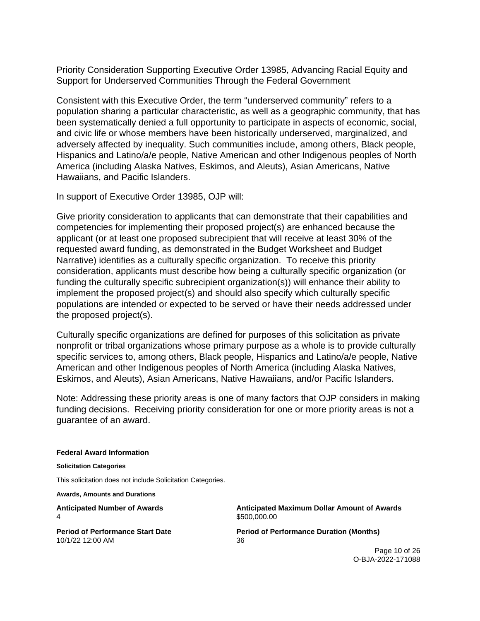<span id="page-9-0"></span>Priority Consideration Supporting Executive Order 13985, Advancing Racial Equity and Support for Underserved Communities Through the Federal Government

Consistent with this Executive Order, the term "underserved community" refers to a population sharing a particular characteristic, as well as a geographic community, that has been systematically denied a full opportunity to participate in aspects of economic, social, and civic life or whose members have been historically underserved, marginalized, and adversely affected by inequality. Such communities include, among others, Black people, Hispanics and Latino/a/e people, Native American and other Indigenous peoples of North America (including Alaska Natives, Eskimos, and Aleuts), Asian Americans, Native Hawaiians, and Pacific Islanders.

In support of Executive Order 13985, OJP will:

Give priority consideration to applicants that can demonstrate that their capabilities and competencies for implementing their proposed project(s) are enhanced because the applicant (or at least one proposed subrecipient that will receive at least 30% of the requested award funding, as demonstrated in the Budget Worksheet and Budget Narrative) identifies as a culturally specific organization. To receive this priority consideration, applicants must describe how being a culturally specific organization (or funding the culturally specific subrecipient organization(s)) will enhance their ability to implement the proposed project(s) and should also specify which culturally specific populations are intended or expected to be served or have their needs addressed under the proposed project(s).

Culturally specific organizations are defined for purposes of this solicitation as private nonprofit or tribal organizations whose primary purpose as a whole is to provide culturally specific services to, among others, Black people, Hispanics and Latino/a/e people, Native American and other Indigenous peoples of North America (including Alaska Natives, Eskimos, and Aleuts), Asian Americans, Native Hawaiians, and/or Pacific Islanders.

Note: Addressing these priority areas is one of many factors that OJP considers in making funding decisions. Receiving priority consideration for one or more priority areas is not a guarantee of an award.

#### **Federal Award Information**

**Solicitation Categories** 

This solicitation does not include Solicitation Categories.

**Awards, Amounts and Durations** 

4 \$500,000.00

10/1/22 12:00 AM 36

**Anticipated Number of Awards Anticipated Maximum Dollar Amount of Awards** 

**Period of Performance Start Date**  Period of Performance Duration (Months)

Page 10 of 26 O-BJA-2022-171088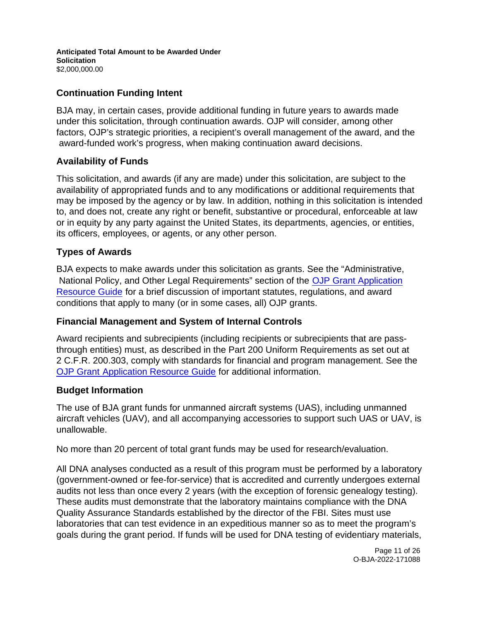#### <span id="page-10-0"></span>**Anticipated Total Amount to be Awarded Under Solicitation**  [\\$2,000,000.00](https://2,000,000.00)

### **Continuation Funding Intent**

BJA may, in certain cases, provide additional funding in future years to awards made under this solicitation, through continuation awards. OJP will consider, among other factors, OJP's strategic priorities, a recipient's overall management of the award, and the award-funded work's progress, when making continuation award decisions.

### **Availability of Funds**

This solicitation, and awards (if any are made) under this solicitation, are subject to the availability of appropriated funds and to any modifications or additional requirements that may be imposed by the agency or by law. In addition, nothing in this solicitation is intended to, and does not, create any right or benefit, substantive or procedural, enforceable at law or in equity by any party against the United States, its departments, agencies, or entities, its officers, employees, or agents, or any other person.

### **Types of Awards**

BJA expects to make awards under this solicitation as grants. See the "Administrative, National Policy, and Other Legal Requirements" section of the [OJP Grant Application](https://ojp.gov/funding/Apply/Resources/Grant-App-Resource-Guide.htm)  [Resource Guide f](https://ojp.gov/funding/Apply/Resources/Grant-App-Resource-Guide.htm)or a brief discussion of important statutes, regulations, and award conditions that apply to many (or in some cases, all) OJP grants.

### **Financial Management and System of Internal Controls**

Award recipients and subrecipients (including recipients or subrecipients that are passthrough entities) must, as described in the Part 200 Uniform Requirements as set out at 2 C.F.R. 200.303, comply with standards for financial and program management. See the [OJP Grant](https://www.ojp.gov/funding/Apply/Resources/Grant-App-Resource-Guide.htm) [Application Resource Guide f](https://www.ojp.gov/funding/Apply/Resources/Grant-App-Resource-Guide.htm)or additional information.

### **Budget Information**

The use of BJA grant funds for unmanned aircraft systems (UAS), including unmanned aircraft vehicles (UAV), and all accompanying accessories to support such UAS or UAV, is unallowable.

No more than 20 percent of total grant funds may be used for research/evaluation.

All DNA analyses conducted as a result of this program must be performed by a laboratory (government-owned or fee-for-service) that is accredited and currently undergoes external audits not less than once every 2 years (with the exception of forensic genealogy testing). These audits must demonstrate that the laboratory maintains compliance with the DNA Quality Assurance Standards established by the director of the FBI. Sites must use laboratories that can test evidence in an expeditious manner so as to meet the program's goals during the grant period. If funds will be used for DNA testing of evidentiary materials,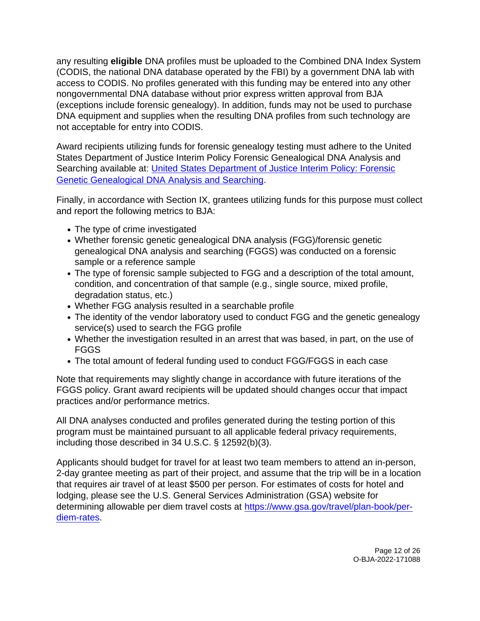any resulting **eligible** DNA profiles must be uploaded to the Combined DNA Index System (CODIS, the national DNA database operated by the FBI) by a government DNA lab with access to CODIS. No profiles generated with this funding may be entered into any other nongovernmental DNA database without prior express written approval from BJA (exceptions include forensic genealogy). In addition, funds may not be used to purchase DNA equipment and supplies when the resulting DNA profiles from such technology are not acceptable for entry into CODIS.

Award recipients utilizing funds for forensic genealogy testing must adhere to the United States Department of Justice Interim Policy Forensic Genealogical DNA Analysis and Searching available at: [United States Department of Justice Interim Policy: Forensic](https://www.justice.gov/olp/page/file/1204386/download)  [Genetic Genealogical DNA Analysis and Searching.](https://www.justice.gov/olp/page/file/1204386/download)

Finally, in accordance with Section IX, grantees utilizing funds for this purpose must collect and report the following metrics to BJA:

- The type of crime investigated
- Whether forensic genetic genealogical DNA analysis (FGG)/forensic genetic genealogical DNA analysis and searching (FGGS) was conducted on a forensic sample or a reference sample
- The type of forensic sample subjected to FGG and a description of the total amount, condition, and concentration of that sample (e.g., single source, mixed profile, degradation status, etc.)
- Whether FGG analysis resulted in a searchable profile
- The identity of the vendor laboratory used to conduct FGG and the genetic genealogy service(s) used to search the FGG profile
- Whether the investigation resulted in an arrest that was based, in part, on the use of FGGS
- The total amount of federal funding used to conduct FGG/FGGS in each case

Note that requirements may slightly change in accordance with future iterations of the FGGS policy. Grant award recipients will be updated should changes occur that impact practices and/or performance metrics.

All DNA analyses conducted and profiles generated during the testing portion of this program must be maintained pursuant to all applicable federal privacy requirements, including those described in 34 U.S.C. § 12592(b)(3).

Applicants should budget for travel for at least two team members to attend an in-person, 2-day grantee meeting as part of their project, and assume that the trip will be in a location that requires air travel of at least \$500 per person. For estimates of costs for hotel and lodging, please see the U.S. General Services Administration (GSA) website for determining allowable per diem travel costs at [https://www.gsa.gov/travel/plan-book/per](https://www.gsa.gov/travel/plan-book/per-diem-rates)[diem-rates.](https://www.gsa.gov/travel/plan-book/per-diem-rates)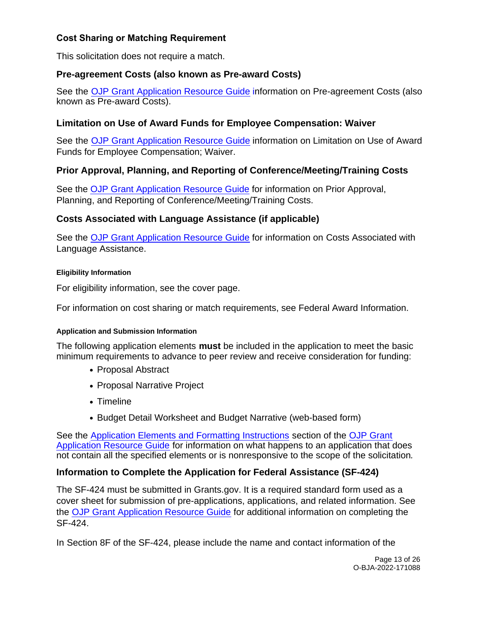### <span id="page-12-0"></span>**Cost Sharing or Matching Requirement**

This solicitation does not require a match.

### **Pre-agreement Costs (also known as Pre-award Costs)**

See the [OJP Grant Application Resource Guide](https://www.ojp.gov/funding/apply/ojp-grant-application-resource-guide#pre-agreement-costs) information on Pre-agreement Costs (also known as Pre-award Costs).

### **Limitation on Use of Award Funds for Employee Compensation: Waiver**

See the [OJP Grant Application Resource Guide](https://www.ojp.gov/funding/apply/ojp-grant-application-resource-guide#limitation-use-award) information on Limitation on Use of Award Funds for Employee Compensation; Waiver.

### **Prior Approval, Planning, and Reporting of Conference/Meeting/Training Costs**

See the [OJP Grant Application Resource Guide](https://www.ojp.gov/funding/apply/ojp-grant-application-resource-guide#prior-approval) for information on Prior Approval, Planning, and Reporting of Conference/Meeting/Training Costs.

### **Costs Associated with Language Assistance (if applicable)**

See the [OJP Grant Application Resource Guide f](https://www.ojp.gov/funding/apply/ojp-grant-application-resource-guide#costs-associated)or information on Costs Associated with Language Assistance.

#### **Eligibility Information**

For eligibility information, see the cover page.

For information on cost sharing or match requirements, see Federal Award Information.

#### **Application and Submission Information**

The following application elements **must** be included in the application to meet the basic minimum requirements to advance to peer review and receive consideration for funding:

- Proposal Abstract
- Proposal Narrative Project
- Timeline
- Budget Detail Worksheet and Budget Narrative (web-based form)

See the [Application Elements and Formatting Instructions](https://www.ojp.gov/funding/Apply/Resources/Grant-App-Resource-Guide.htm#formatInstructions) section of the [OJP Grant](https://ojp.gov/funding/Apply/Resources/Grant-App-Resource-Guide.htm)  [Application Resource Guide](https://ojp.gov/funding/Apply/Resources/Grant-App-Resource-Guide.htm) for information on what happens to an application that does not contain all the specified elements or is nonresponsive to the scope of the solicitation.

### **Information to Complete the Application for Federal Assistance (SF-424)**

The SF-424 must be submitted in [Grants.gov.](https://Grants.gov) It is a required standard form used as a cover sheet for submission of pre-applications, applications, and related information. See the [OJP Grant Application Resource Guide f](https://www.ojp.gov/funding/Apply/Resources/Grant-App-Resource-Guide.htm)or additional information on completing the SF-424.

In Section 8F of the SF-424, please include the name and contact information of the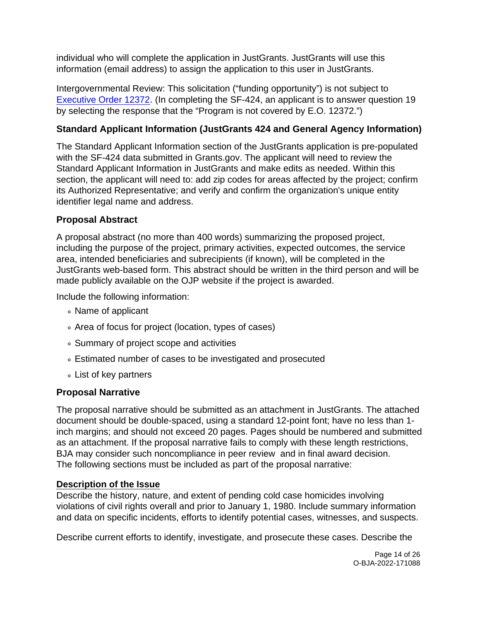<span id="page-13-0"></span>individual who will complete the application in JustGrants. JustGrants will use this information (email address) to assign the application to this user in JustGrants.

Intergovernmental Review: This solicitation ("funding opportunity") is not subject to [Executive Order 12372.](https://www.archives.gov/federal-register/codification/executive-order/12372.html) (In completing the SF-424, an applicant is to answer question 19 by selecting the response that the "Program is not covered by E.O. 12372.")

## **Standard Applicant Information (JustGrants 424 and General Agency Information)**

The Standard Applicant Information section of the JustGrants application is pre-populated with the SF-424 data submitted in [Grants.gov.](https://Grants.gov) The applicant will need to review the Standard Applicant Information in JustGrants and make edits as needed. Within this section, the applicant will need to: add zip codes for areas affected by the project; confirm its Authorized Representative; and verify and confirm the organization's unique entity identifier legal name and address.

### **Proposal Abstract**

A proposal abstract (no more than 400 words) summarizing the proposed project, including the purpose of the project, primary activities, expected outcomes, the service area, intended beneficiaries and subrecipients (if known), will be completed in the JustGrants web-based form. This abstract should be written in the third person and will be made publicly available on the OJP website if the project is awarded.

Include the following information:

- Name of applicant
- Area of focus for project (location, types of cases)
- Summary of project scope and activities
- Estimated number of cases to be investigated and prosecuted
- List of key partners

### **Proposal Narrative**

The proposal narrative should be submitted as an attachment in JustGrants. The attached document should be double-spaced, using a standard 12-point font; have no less than 1 inch margins; and should not exceed 20 pages. Pages should be numbered and submitted as an attachment. If the proposal narrative fails to comply with these length restrictions, BJA may consider such noncompliance in peer review and in final award decision. The following sections must be included as part of the proposal narrative:

### **Description of the Issue**

Describe the history, nature, and extent of pending cold case homicides involving violations of civil rights overall and prior to January 1, 1980. Include summary information and data on specific incidents, efforts to identify potential cases, witnesses, and suspects.

Describe current efforts to identify, investigate, and prosecute these cases. Describe the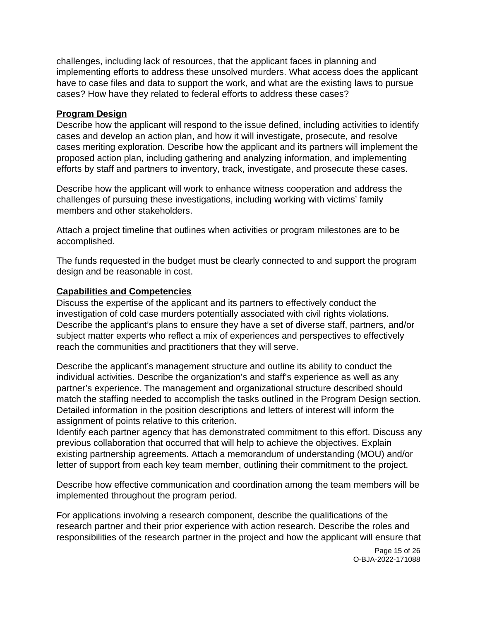challenges, including lack of resources, that the applicant faces in planning and implementing efforts to address these unsolved murders. What access does the applicant have to case files and data to support the work, and what are the existing laws to pursue cases? How have they related to federal efforts to address these cases?

#### **Program Design**

Describe how the applicant will respond to the issue defined, including activities to identify cases and develop an action plan, and how it will investigate, prosecute, and resolve cases meriting exploration. Describe how the applicant and its partners will implement the proposed action plan, including gathering and analyzing information, and implementing efforts by staff and partners to inventory, track, investigate, and prosecute these cases.

Describe how the applicant will work to enhance witness cooperation and address the challenges of pursuing these investigations, including working with victims' family members and other stakeholders.

Attach a project timeline that outlines when activities or program milestones are to be accomplished.

The funds requested in the budget must be clearly connected to and support the program design and be reasonable in cost.

#### **Capabilities and Competencies**

Discuss the expertise of the applicant and its partners to effectively conduct the investigation of cold case murders potentially associated with civil rights violations. Describe the applicant's plans to ensure they have a set of diverse staff, partners, and/or subject matter experts who reflect a mix of experiences and perspectives to effectively reach the communities and practitioners that they will serve.

Describe the applicant's management structure and outline its ability to conduct the individual activities. Describe the organization's and staff's experience as well as any partner's experience. The management and organizational structure described should match the staffing needed to accomplish the tasks outlined in the Program Design section. Detailed information in the position descriptions and letters of interest will inform the assignment of points relative to this criterion.

Identify each partner agency that has demonstrated commitment to this effort. Discuss any previous collaboration that occurred that will help to achieve the objectives. Explain existing partnership agreements. Attach a memorandum of understanding (MOU) and/or letter of support from each key team member, outlining their commitment to the project.

Describe how effective communication and coordination among the team members will be implemented throughout the program period.

For applications involving a research component, describe the qualifications of the research partner and their prior experience with action research. Describe the roles and responsibilities of the research partner in the project and how the applicant will ensure that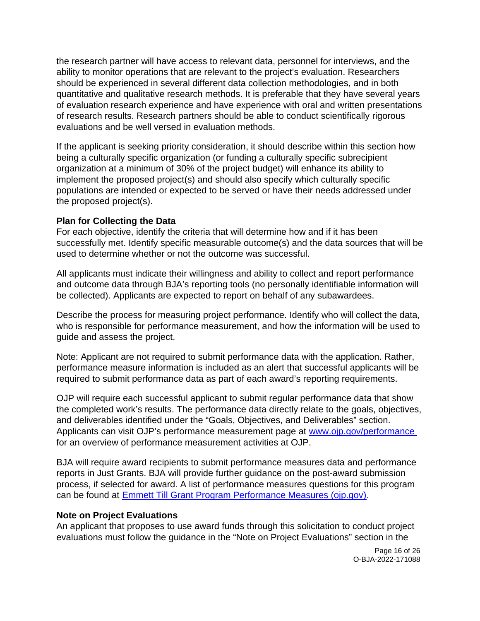the research partner will have access to relevant data, personnel for interviews, and the ability to monitor operations that are relevant to the project's evaluation. Researchers should be experienced in several different data collection methodologies, and in both quantitative and qualitative research methods. It is preferable that they have several years of evaluation research experience and have experience with oral and written presentations of research results. Research partners should be able to conduct scientifically rigorous evaluations and be well versed in evaluation methods.

If the applicant is seeking priority consideration, it should describe within this section how being a culturally specific organization (or funding a culturally specific subrecipient organization at a minimum of 30% of the project budget) will enhance its ability to implement the proposed project(s) and should also specify which culturally specific populations are intended or expected to be served or have their needs addressed under the proposed project(s).

### **Plan for Collecting the Data**

For each objective, identify the criteria that will determine how and if it has been successfully met. Identify specific measurable outcome(s) and the data sources that will be used to determine whether or not the outcome was successful.

All applicants must indicate their willingness and ability to collect and report performance and outcome data through BJA's reporting tools (no personally identifiable information will be collected). Applicants are expected to report on behalf of any subawardees.

Describe the process for measuring project performance. Identify who will collect the data, who is responsible for performance measurement, and how the information will be used to guide and assess the project.

Note: Applicant are not required to submit performance data with the application. Rather, performance measure information is included as an alert that successful applicants will be required to submit performance data as part of each award's reporting requirements.

OJP will require each successful applicant to submit regular performance data that show the completed work's results. The performance data directly relate to the goals, objectives, and deliverables identified under the "Goals, Objectives, and Deliverables" section. Applicants can visit OJP's performance measurement page at [www.ojp.gov/performance](https://www.ojp.gov/performance)  for an overview of performance measurement activities at OJP.

BJA will require award recipients to submit performance measures data and performance reports in Just Grants. BJA will provide further guidance on the post-award submission process, if selected for award. A list of performance measures questions for this program can be found at [Emmett Till Grant Program Performance Measures \(ojp.gov\).](https://bja.ojp.gov/sites/g/files/xyckuh186/files/media/document/Emmett-Till-Measures.pdf)

### **Note on Project Evaluations**

An applicant that proposes to use award funds through this solicitation to conduct project evaluations must follow the guidance in the "Note on Project Evaluations" section in the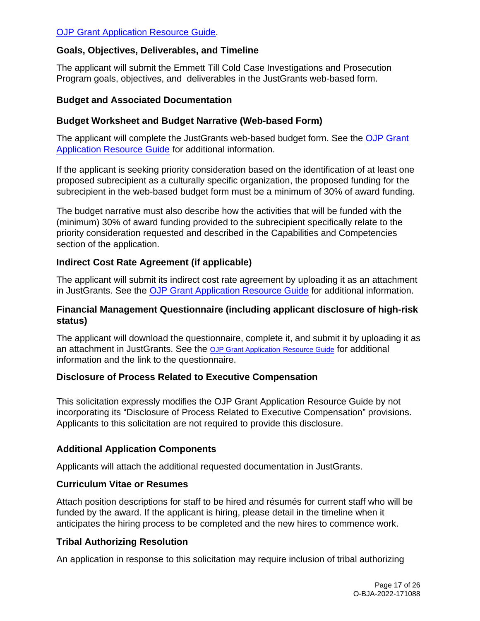### <span id="page-16-0"></span>[OJP Grant Application Resource Guide.](https://www.ojp.gov/funding/Apply/Resources/Grant-App-Resource-Guide.htm)

### **Goals, Objectives, Deliverables, and Timeline**

The applicant will submit the Emmett Till Cold Case Investigations and Prosecution Program goals, objectives, and deliverables in the JustGrants web-based form.

#### **Budget and Associated Documentation**

#### **Budget Worksheet and Budget Narrative (Web-based Form)**

The applicant will complete the JustGrants web-based budget form. See the [OJP Grant](https://www.ojp.gov/funding/apply/ojp-grant-application-resource-guide#budget-prep)  [Application Resource Guide f](https://www.ojp.gov/funding/apply/ojp-grant-application-resource-guide#budget-prep)or additional information.

If the applicant is seeking priority consideration based on the identification of at least one proposed subrecipient as a culturally specific organization, the proposed funding for the subrecipient in the web-based budget form must be a minimum of 30% of award funding.

The budget narrative must also describe how the activities that will be funded with the (minimum) 30% of award funding provided to the subrecipient specifically relate to the priority consideration requested and described in the Capabilities and Competencies section of the application.

### **Indirect Cost Rate Agreement (if applicable)**

The applicant will submit its indirect cost rate agreement by uploading it as an attachment in JustGrants. See the [OJP Grant Application Resource Guide f](https://www.ojp.gov/funding/apply/ojp-grant-application-resource-guide#budget-prep)or additional information.

### **Financial Management Questionnaire (including applicant disclosure of high-risk status)**

The applicant will download the questionnaire, complete it, and submit it by uploading it as an attachment in JustGrants. See the [OJP Grant Application](https://www.ojp.gov/funding/apply/ojp-grant-application-resource-guide#fm-internal-controls-questionnaire) [Resource Guide](https://www.ojp.gov/funding/apply/ojp-grant-application-resource-guide#fm-internal-controls-questionnaire) for additional information and the link to the questionnaire.

### **Disclosure of Process Related to Executive Compensation**

This solicitation expressly modifies the OJP Grant Application Resource Guide by not incorporating its "Disclosure of Process Related to Executive Compensation" provisions. Applicants to this solicitation are not required to provide this disclosure.

### **Additional Application Components**

Applicants will attach the additional requested documentation in JustGrants.

### **Curriculum Vitae or Resumes**

Attach position descriptions for staff to be hired and résumés for current staff who will be funded by the award. If the applicant is hiring, please detail in the timeline when it anticipates the hiring process to be completed and the new hires to commence work.

### **Tribal Authorizing Resolution**

An application in response to this solicitation may require inclusion of tribal authorizing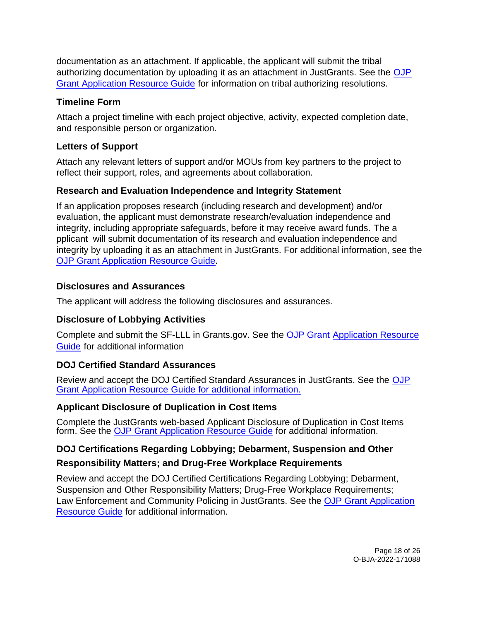<span id="page-17-0"></span>documentation as an attachment. If applicable, the applicant will submit the tribal authorizing documentation by uploading it as an attachment in JustGrants. See the [OJP](https://www.ojp.gov/funding/apply/ojp-grant-application-resource-guide#tribal-authorizing-resolution)  [Grant Application Resource Guide fo](https://www.ojp.gov/funding/apply/ojp-grant-application-resource-guide#tribal-authorizing-resolution)r information on tribal authorizing resolutions.

### **Timeline Form**

Attach a project timeline with each project objective, activity, expected completion date, and responsible person or organization.

### **Letters of Support**

Attach any relevant letters of support and/or MOUs from key partners to the project to reflect their support, roles, and agreements about collaboration.

### **Research and Evaluation Independence and Integrity Statement**

If an application proposes research (including research and development) and/or evaluation, the applicant must demonstrate research/evaluation independence and integrity, including appropriate safeguards, before it may receive award funds. The a pplicant will submit documentation of its research and evaluation independence and integrity by uploading it as an attachment in JustGrants. For additional information, see the [OJP Grant Application Resource Guide.](https://www.ojp.gov/funding/apply/ojp-grant-application-resource-guide#research-evaluation)

### **Disclosures and Assurances**

The applicant will address the following disclosures and assurances.

## **Disclosure of Lobbying Activities**

Complete and submit the SF-LLL in [Grants.gov.](https://Grants.gov) See the [OJP Grant Application Resource](https://www.ojp.gov/funding/apply/ojp-grant-application-resource-guide#apply)  [Guide](https://www.ojp.gov/funding/apply/ojp-grant-application-resource-guide#apply) for additional information

## **DOJ Certified Standard Assurances**

Review and accept the DOJ Certified Standard Assurances in JustGrants. See the [OJP](https://www.ojp.gov/funding/apply/ojp-grant-application-resource-guide#administrative) [Grant Application Resource Guide](https://www.ojp.gov/funding/apply/ojp-grant-application-resource-guide#administrative) for additional information.

## **Applicant Disclosure of Duplication in Cost Items**

Complete the JustGrants web-based Applicant Disclosure of Duplication in Cost Items form. See the [OJP Grant Application Resource Guide](https://www.ojp.gov/funding/apply/ojp-grant-application-resource-guide#applicant-disclosure-pending-applications) for additional information.

## **DOJ Certifications Regarding Lobbying; Debarment, Suspension and Other**

## **Responsibility Matters; and Drug-Free Workplace Requirements**

Review and accept the DOJ Certified Certifications Regarding Lobbying; Debarment, Suspension and Other Responsibility Matters; Drug-Free Workplace Requirements; Law Enforcement and Community Policing in JustGrants. See the [OJP Grant Application](https://www.ojp.gov/funding/apply/ojp-grant-application-resource-guide#administrative)  [Resource Guide](https://www.ojp.gov/funding/apply/ojp-grant-application-resource-guide#administrative) for additional information.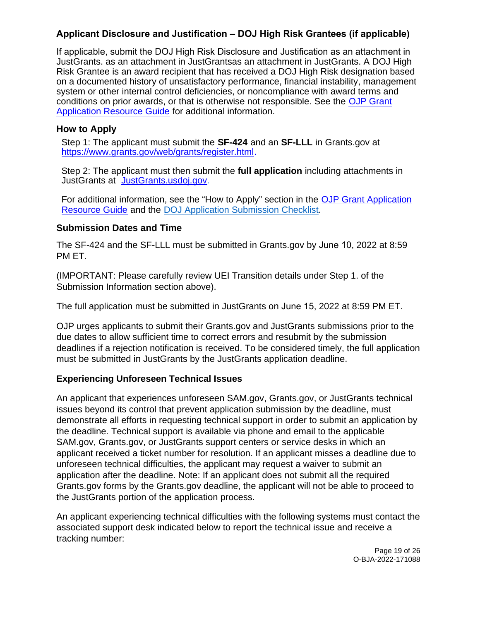### <span id="page-18-0"></span>**Applicant Disclosure and Justification – DOJ High Risk Grantees (if applicable)**

If applicable, submit the DOJ High Risk Disclosure and Justification as an attachment in JustGrants. as an attachment in JustGrantsas an attachment in JustGrants. A DOJ High Risk Grantee is an award recipient that has received a DOJ High Risk designation based on a documented history of unsatisfactory performance, financial instability, management system or other internal control deficiencies, or noncompliance with award terms and conditions on prior awards, or that is otherwise not responsible. See the [OJP Grant](https://www.ojp.gov/funding/apply/ojp-grant-application-resource-guide) [Application Resource Guide](https://www.ojp.gov/funding/apply/ojp-grant-application-resource-guide) for additional information.

### **How to Apply**

Step 1: The applicant must submit the **SF-424** and an **SF-LLL** in [Grants.gov](https://Grants.gov) at [https://www.grants.gov/web/grants/register.html.](https://www.grants.gov/web/grants/register.html)

Step 2: The applicant must then submit the **full application** including attachments in JustGrants at [JustGrants.usdoj.gov.](https://justicegrants.usdoj.gov/)

For additional information, see the "How to Apply" section in the [OJP Grant Application](https://www.ojp.gov/funding/apply/ojp-grant-application-resource-guide#apply)  [Resource Guide](https://www.ojp.gov/funding/apply/ojp-grant-application-resource-guide#apply) and the [DOJ Application Submission Checklist.](https://justicegrants.usdoj.gov/sites/g/files/xyckuh296/files/media/document/appln-submission-checklist.pdf)

### **Submission Dates and Time**

The SF-424 and the SF-LLL must be submitted in [Grants.gov](https://Grants.gov) by June 10, 2022 at 8:59 PM ET.

(IMPORTANT: Please carefully review UEI Transition details under Step 1. of the Submission Information section above).

The full application must be submitted in JustGrants on June 15, 2022 at 8:59 PM ET.

OJP urges applicants to submit their [Grants.gov](https://Grants.gov) and JustGrants submissions prior to the due dates to allow sufficient time to correct errors and resubmit by the submission deadlines if a rejection notification is received. To be considered timely, the full application must be submitted in JustGrants by the JustGrants application deadline.

### **Experiencing Unforeseen Technical Issues**

An applicant that experiences unforeseen SAM.gov, [Grants.gov,](https://Grants.gov) or JustGrants technical issues beyond its control that prevent application submission by the deadline, must demonstrate all efforts in requesting technical support in order to submit an application by the deadline. Technical support is available via phone and email to the applicable SAM.gov, [Grants.gov,](https://Grants.gov) or JustGrants support centers or service desks in which an applicant received a ticket number for resolution. If an applicant misses a deadline due to unforeseen technical difficulties, the applicant may request a waiver to submit an application after the deadline. Note: If an applicant does not submit all the required [Grants.gov](https://Grants.gov) forms by the [Grants.gov](https://Grants.gov) deadline, the applicant will not be able to proceed to the JustGrants portion of the application process.

An applicant experiencing technical difficulties with the following systems must contact the associated support desk indicated below to report the technical issue and receive a tracking number:

> Page 19 of 26 O-BJA-2022-171088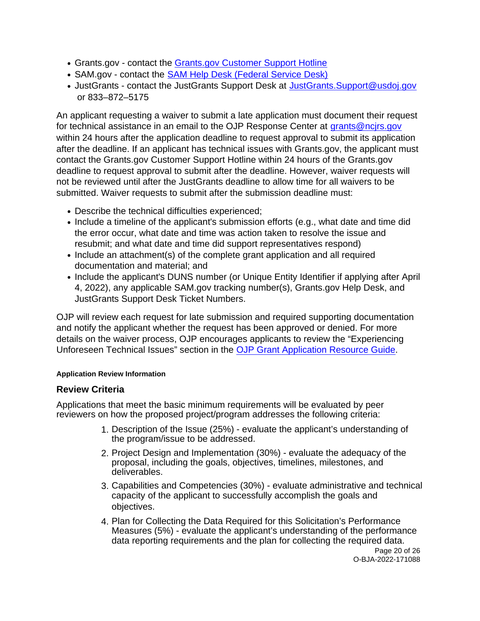- <span id="page-19-0"></span>• [Grants.gov](https://Grants.gov) - contact the Grants.gov Customer Support Hotline
- SAM.gov contact the [SAM Help Desk \(Federal Service Desk\)](https://www.fsd.gov/gsafsd_sp)
- JustGrants contact the JustGrants Support Desk at [JustGrants.Support@usdoj.gov](mailto:JustGrants.Support@usdoj.gov) or 833–872–5175

An applicant requesting a waiver to submit a late application must document their request for technical assistance in an email to the OJP Response Center at grants@ncirs.gov within 24 hours after the application deadline to request approval to submit its application after the deadline. If an applicant has technical issues with [Grants.gov,](https://Grants.gov) the applicant must contact the [Grants.gov](https://Grants.gov) Customer Support Hotline within 24 hours of the [Grants.gov](https://Grants.gov)  deadline to request approval to submit after the deadline. However, waiver requests will not be reviewed until after the JustGrants deadline to allow time for all waivers to be submitted. Waiver requests to submit after the submission deadline must:

- Describe the technical difficulties experienced;
- Include a timeline of the applicant's submission efforts (e.g., what date and time did the error occur, what date and time was action taken to resolve the issue and resubmit; and what date and time did support representatives respond)
- Include an attachment(s) of the complete grant application and all required documentation and material; and
- Include the applicant's DUNS number (or Unique Entity Identifier if applying after April 4, 2022), any applicable SAM.gov tracking number(s), [Grants.gov](https://Grants.gov) Help Desk, and JustGrants Support Desk Ticket Numbers.

OJP will review each request for late submission and required supporting documentation and notify the applicant whether the request has been approved or denied. For more details on the waiver process, OJP encourages applicants to review the "Experiencing Unforeseen Technical Issues" section in the [OJP Grant Application Resource Guide.](https://www.ojp.gov/funding/apply/ojp-grant-application-resource-guide#experiencing-unforeseen-technical-issues) 

#### **Application Review Information**

### **Review Criteria**

Applications that meet the basic minimum requirements will be evaluated by peer reviewers on how the proposed project/program addresses the following criteria:

- 1. Description of the Issue (25%) evaluate the applicant's understanding of the program/issue to be addressed.
- 2. Project Design and Implementation (30%) evaluate the adequacy of the proposal, including the goals, objectives, timelines, milestones, and deliverables.
- 3. Capabilities and Competencies (30%) evaluate administrative and technical capacity of the applicant to successfully accomplish the goals and objectives.
- 4. Plan for Collecting the Data Required for this Solicitation's Performance Measures (5%) - evaluate the applicant's understanding of the performance data reporting requirements and the plan for collecting the required data.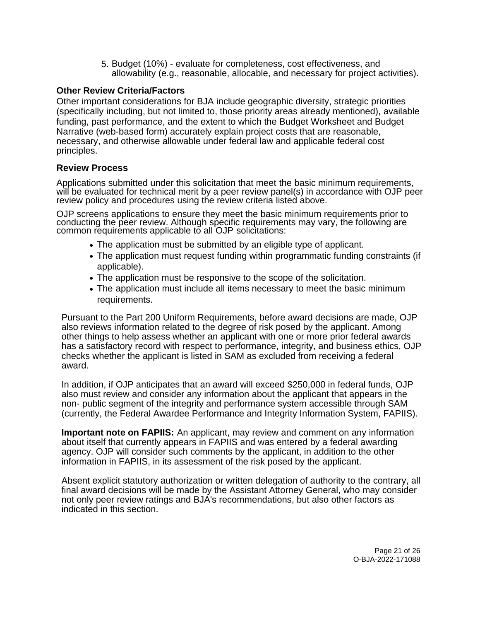5. Budget (10%) - evaluate for completeness, cost effectiveness, and allowability (e.g., reasonable, allocable, and necessary for project activities).

#### <span id="page-20-0"></span>**Other Review Criteria/Factors**

Other important considerations for BJA include geographic diversity, strategic priorities (specifically including, but not limited to, those priority areas already mentioned), available funding, past performance, and the extent to which the Budget Worksheet and Budget Narrative (web-based form) accurately explain project costs that are reasonable, necessary, and otherwise allowable under federal law and applicable federal cost principles.

#### **Review Process**

Applications submitted under this solicitation that meet the basic minimum requirements, will be evaluated for technical merit by a peer review panel(s) in accordance with OJP peer review policy and procedures using the review criteria listed above.

OJP screens applications to ensure they meet the basic minimum requirements prior to conducting the peer review. Although specific requirements may vary, the following are common requirements applicable to all OJP solicitations:

- The application must be submitted by an eligible type of applicant.
- The application must request funding within programmatic funding constraints (if applicable).
- The application must be responsive to the scope of the solicitation.
- The application must include all items necessary to meet the basic minimum requirements.

Pursuant to the Part 200 Uniform Requirements, before award decisions are made, OJP also reviews information related to the degree of risk posed by the applicant. Among other things to help assess whether an applicant with one or more prior federal awards has a satisfactory record with respect to performance, integrity, and business ethics, OJP checks whether the applicant is listed in SAM as excluded from receiving a federal award.

In addition, if OJP anticipates that an award will exceed \$250,000 in federal funds, OJP also must review and consider any information about the applicant that appears in the non- public segment of the integrity and performance system accessible through SAM (currently, the Federal Awardee Performance and Integrity Information System, FAPIIS).

**Important note on FAPIIS:** An applicant, may review and comment on any information about itself that currently appears in FAPIIS and was entered by a federal awarding agency. OJP will consider such comments by the applicant, in addition to the other information in FAPIIS, in its assessment of the risk posed by the applicant.

Absent explicit statutory authorization or written delegation of authority to the contrary, all final award decisions will be made by the Assistant Attorney General, who may consider not only peer review ratings and BJA's recommendations, but also other factors as indicated in this section.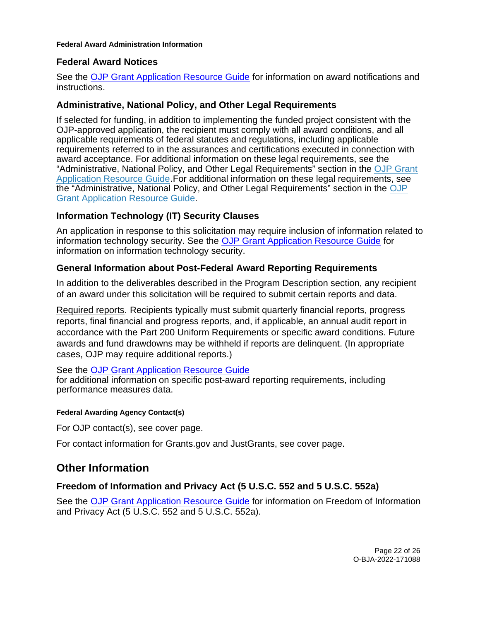#### <span id="page-21-0"></span>**Federal Award Administration Information**

#### **Federal Award Notices**

See the [OJP Grant Application Resource Guide](https://www.ojp.gov/funding/apply/ojp-grant-application-resource-guide#federal-award-notices) for information on award notifications and instructions.

#### **Administrative, National Policy, and Other Legal Requirements**

If selected for funding, in addition to implementing the funded project consistent with the OJP-approved application, the recipient must comply with all award conditions, and all applicable requirements of federal statutes and regulations, including applicable requirements referred to in the assurances and certifications executed in connection with award acceptance. For additional information on these legal requirements, see the "Administrative, National Policy, and Other Legal Requirements" section in the [OJP Grant](https://www.ojp.gov/funding/apply/ojp-grant-application-resource-guide#administrative)  [Application Resource](https://www.ojp.gov/funding/apply/ojp-grant-application-resource-guide#administrative) [Guide.](https://www.ojp.gov/funding/apply/ojp-grant-application-resource-guide#administrative)For additional information on these legal requirements, see the "Administrative, National Policy, and Other Legal Requirements" section in the [OJP](https://www.ojp.gov/funding/apply/ojp-grant-application-resource-guide#administrative) [Grant Application Resource Guide.](https://www.ojp.gov/funding/apply/ojp-grant-application-resource-guide#administrative)

### **Information Technology (IT) Security Clauses**

An application in response to this solicitation may require inclusion of information related to information technology security. See the [OJP Grant Application Resource Guide](https://www.ojp.gov/funding/apply/ojp-grant-application-resource-guide#information-technology) for information on information technology security.

### **General Information about Post-Federal Award Reporting Requirements**

In addition to the deliverables described in the Program Description section, any recipient of an award under this solicitation will be required to submit certain reports and data.

Required reports. Recipients typically must submit quarterly financial reports, progress reports, final financial and progress reports, and, if applicable, an annual audit report in accordance with the Part 200 Uniform Requirements or specific award conditions. Future awards and fund drawdowns may be withheld if reports are delinquent. (In appropriate cases, OJP may require additional reports.)

#### See the [OJP Grant Application Resource Guide](https://www.ojp.gov/funding/apply/ojp-grant-application-resource-guide#general-information)

for additional information on specific post-award reporting requirements, including performance measures data.

#### **Federal Awarding Agency Contact(s)**

For OJP contact(s), see cover page.

For contact information for [Grants.gov](https://Grants.gov) and JustGrants, see cover page.

### **Other Information**

### **Freedom of Information and Privacy Act (5 U.S.C. 552 and 5 U.S.C. 552a)**

See the [OJP Grant Application Resource Guide f](https://www.ojp.gov/funding/apply/ojp-grant-application-resource-guide#foia)or information on Freedom of Information and Privacy Act (5 U.S.C. 552 and 5 U.S.C. 552a).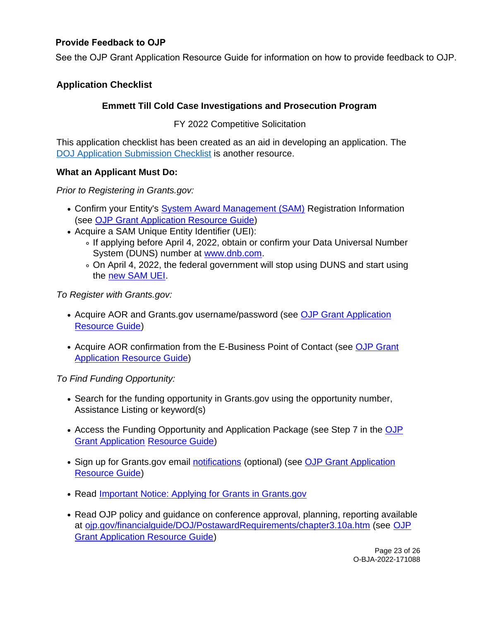### <span id="page-22-0"></span>**Provide Feedback to OJP**

See the OJP Grant Application Resource Guide for information on how to provide feedback to OJP.

### **Application Checklist**

### **Emmett Till Cold Case Investigations and Prosecution Program**

FY 2022 Competitive Solicitation

This application checklist has been created as an aid in developing an application. The [DOJ Application Submission Checklist](https://justicegrants.usdoj.gov/sites/g/files/xyckuh296/files/media/document/appln-submission-checklist.pdf) is another resource.

#### **What an Applicant Must Do:**

Prior to Registering in [Grants.gov](https://Grants.gov):

- Confirm your Entity's [System Award Management \(SAM\)](https://sam.gov/SAM/) Registration Information (see [OJP Grant Application Resource Guide\)](https://www.ojp.gov/funding/apply/ojp-grant-application-resource-guide#apply)
- Acquire a SAM Unique Entity Identifier (UEI):
	- ∘ If applying before April 4, 2022, obtain or confirm your Data Universal Number System (DUNS) number at [www.dnb.com.](http://www.dnb.com)
	- On April 4, 2022, the federal government will stop using DUNS and start using the [new SAM UEI.](https://justicegrants.usdoj.gov/resources/system-for-award-management#transition-to-unique-entity-id-sam)

To Register with [Grants.gov](https://Grants.gov):

- Acquire AOR and [Grants.gov](https://Grants.gov) username/password (see [OJP Grant Application](https://www.ojp.gov/funding/apply/ojp-grant-application-resource-guide#apply)  [Resource Guide\)](https://www.ojp.gov/funding/apply/ojp-grant-application-resource-guide#apply)
- Acquire AOR confirmation from the E-Business Point of Contact (see OJP Grant [Application Resource Guide\)](https://www.ojp.gov/funding/apply/ojp-grant-application-resource-guide#apply)

To Find Funding Opportunity:

- Search for the funding opportunity in [Grants.gov](https://Grants.gov) using the opportunity number, Assistance Listing or keyword(s)
- Access the Funding Opportunity and Application Package (see Step 7 in the OJP [Grant Application Resource Guide\)](https://www.ojp.gov/funding/apply/ojp-grant-application-resource-guide#apply)
- Sign up for [Grants.gov](https://Grants.gov) email [notifications](https://www.grants.gov/web/grants/manage-subscriptions.html) (optional) (see OJP Grant Application [Resource Guide\)](https://www.ojp.gov/funding/apply/ojp-grant-application-resource-guide#apply)
- Read Important Notice: Applying for Grants in Grants.gov
- Read OJP policy and quidance on conference approval, planning, reporting available at [ojp.gov/financialguide/DOJ/PostawardRequirements/chapter3.10a.htm](https://ojp.gov/financialguide/DOJ/PostawardRequirements/chapter3.10a.htm) (see [OJP](https://www.ojp.gov/funding/apply/ojp-grant-application-resource-guide#prior-approval)  [Grant Application Resource Guide\)](https://www.ojp.gov/funding/apply/ojp-grant-application-resource-guide#prior-approval)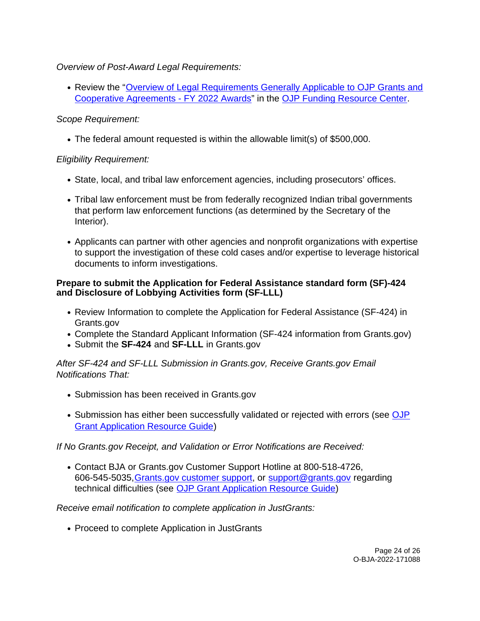Overview of Post-Award Legal Requirements:

• Review the "Overview of Legal Requirements Generally Applicable to OJP Grants and [Cooperative Agreements - FY 2022 Awards"](https://www.ojp.gov/funding/explore/legal-overview-fy-2022-awards) in the [OJP Funding Resource Center.](https://www.ojp.gov/funding/index.htm)

### Scope Requirement:

The federal amount requested is within the allowable limit(s) of \$500,000.

### Eligibility Requirement:

- State, local, and tribal law enforcement agencies, including prosecutors' offices.
- Tribal law enforcement must be from federally recognized Indian tribal governments that perform law enforcement functions (as determined by the Secretary of the Interior).
- Applicants can partner with other agencies and nonprofit organizations with expertise to support the investigation of these cold cases and/or expertise to leverage historical documents to inform investigations.

### **Prepare to submit the Application for Federal Assistance standard form (SF)-424 and Disclosure of Lobbying Activities form (SF-LLL)**

- Review Information to complete the Application for Federal Assistance (SF-424) in [Grants.gov](https://Grants.gov)
- Complete the Standard Applicant Information (SF-424 information from [Grants.gov\)](https://Grants.gov)
- Submit the **SF-424** and **SF-LLL** in [Grants.gov](https://Grants.gov)

### After SF-424 and SF-LLL Submission in [Grants.gov](https://Grants.gov), Receive [Grants.gov](https://Grants.gov) Email Notifications That:

- Submission has been received in Grants.gov
- Submission has either been successfully validated or rejected with errors (see OJP [Grant Application Resource Guide\)](https://www.ojp.gov/funding/apply/ojp-grant-application-resource-guide#apply)

If No [Grants.gov](https://Grants.gov) Receipt, and Validation or Error Notifications are Received:

Contact BJA or [Grants.gov](https://Grants.gov) Customer Support Hotline at 800-518-4726, 606-545-5035,[Grants.gov customer support,](https://www.grants.gov/web/grants/support.html) or [support@grants.gov](mailto:support@grants.gov) regarding technical difficulties (see [OJP Grant Application Resource Guide\)](https://www.ojp.gov/funding/apply/ojp-grant-application-resource-guide#apply)

Receive email notification to complete application in JustGrants:

• Proceed to complete Application in JustGrants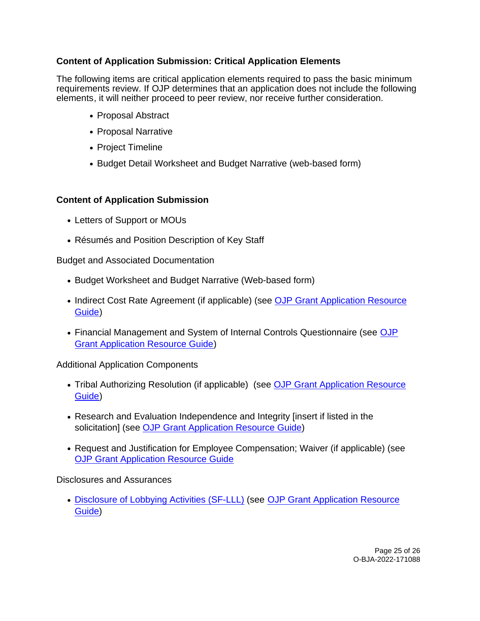### **Content of Application Submission: Critical Application Elements**

The following items are critical application elements required to pass the basic minimum requirements review. If OJP determines that an application does not include the following elements, it will neither proceed to peer review, nor receive further consideration.

- Proposal Abstract
- Proposal Narrative
- Project Timeline
- Budget Detail Worksheet and Budget Narrative (web-based form)

#### **Content of Application Submission**

- Letters of Support or MOUs
- Résumés and Position Description of Key Staff

Budget and Associated Documentation

- Budget Worksheet and Budget Narrative (Web-based form)
- Indirect Cost Rate Agreement (if applicable) (see OJP Grant Application Resource [Guide\)](https://www.ojp.gov/funding/apply/ojp-grant-application-resource-guide#indirect-cost)
- Financial Management and System of Internal Controls Questionnaire (see [OJP](https://www.ojp.gov/funding/apply/ojp-grant-application-resource-guide#fm-internal-controls-questionnaire)  [Grant Application Resource Guide\)](https://www.ojp.gov/funding/apply/ojp-grant-application-resource-guide#fm-internal-controls-questionnaire)

Additional Application Components

- Tribal Authorizing Resolution (if applicable) (see OJP Grant Application Resource [Guide\)](https://www.ojp.gov/funding/apply/ojp-grant-application-resource-guide#tribal-authorizing-resolution)
- Research and Evaluation Independence and Integrity [insert if listed in the solicitation] (see [OJP Grant Application Resource Guide\)](https://www.ojp.gov/funding/apply/ojp-grant-application-resource-guide#research-evaluation)
- Request and Justification for Employee Compensation; Waiver (if applicable) (see [OJP Grant Application Resource Guide](https://www.ojp.gov/funding/apply/ojp-grant-application-resource-guide#limitation-use-award)

Disclosures and Assurances

[Disclosure of Lobbying Activities \(SF-LLL\) \(](https://ojp.gov/funding/Apply/Resources/Disclosure.pdf)see [OJP Grant Application Resource](https://www.ojp.gov/funding/apply/ojp-grant-application-resource-guide#apply)  [Guide\)](https://www.ojp.gov/funding/apply/ojp-grant-application-resource-guide#apply)